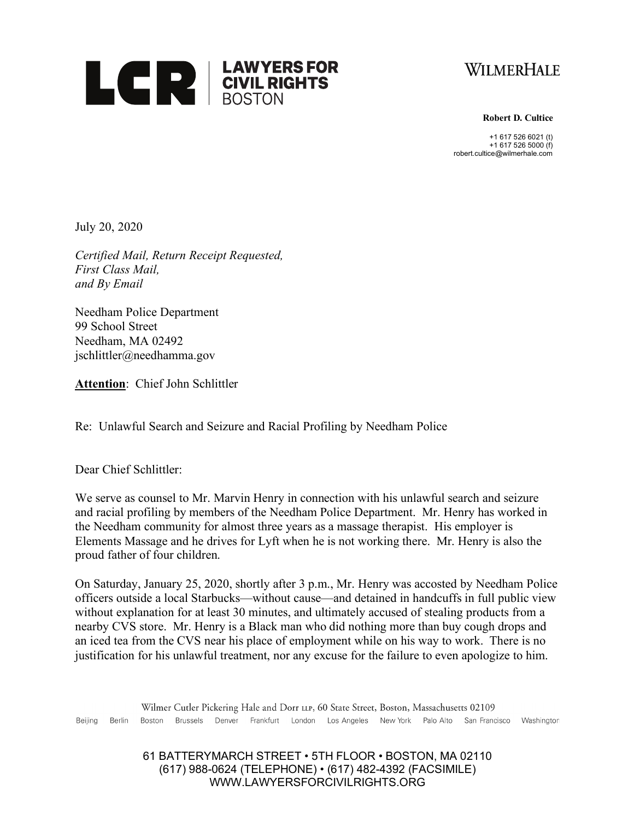



**Robert D. Cultice**

+1 617 526 6021 (t) +1 617 526 5000 (f) robert.cultice@wilmerhale.com

July 20, 2020

*Certified Mail, Return Receipt Requested, First Class Mail, and By Email*

Needham Police Department 99 School Street Needham, MA 02492 jschlittler@needhamma.gov

**Attention**: Chief John Schlittler

Re: Unlawful Search and Seizure and Racial Profiling by Needham Police

Dear Chief Schlittler:

We serve as counsel to Mr. Marvin Henry in connection with his unlawful search and seizure and racial profiling by members of the Needham Police Department. Mr. Henry has worked in the Needham community for almost three years as a massage therapist. His employer is Elements Massage and he drives for Lyft when he is not working there. Mr. Henry is also the proud father of four children.

On Saturday, January 25, 2020, shortly after 3 p.m., Mr. Henry was accosted by Needham Police officers outside a local Starbucks—without cause—and detained in handcuffs in full public view without explanation for at least 30 minutes, and ultimately accused of stealing products from a nearby CVS store. Mr. Henry is a Black man who did nothing more than buy cough drops and an iced tea from the CVS near his place of employment while on his way to work. There is no justification for his unlawful treatment, nor any excuse for the failure to even apologize to him.

Wilmer Cutler Pickering Hale and Dorr LLP, 60 State Street, Boston, Massachusetts 02109 Boston Brussels Denver Frankfurt London Los-Angeles New-York Palo-Alto San-Francisco Washington Beijing Berlin

> 61 BATTERYMARCH STREET • 5TH FLOOR • BOSTON, MA 02110 (617) 988-0624 (TELEPHONE) • (617) 482-4392 (FACSIMILE) WWW.LAWYERSFORCIVILRIGHTS.ORG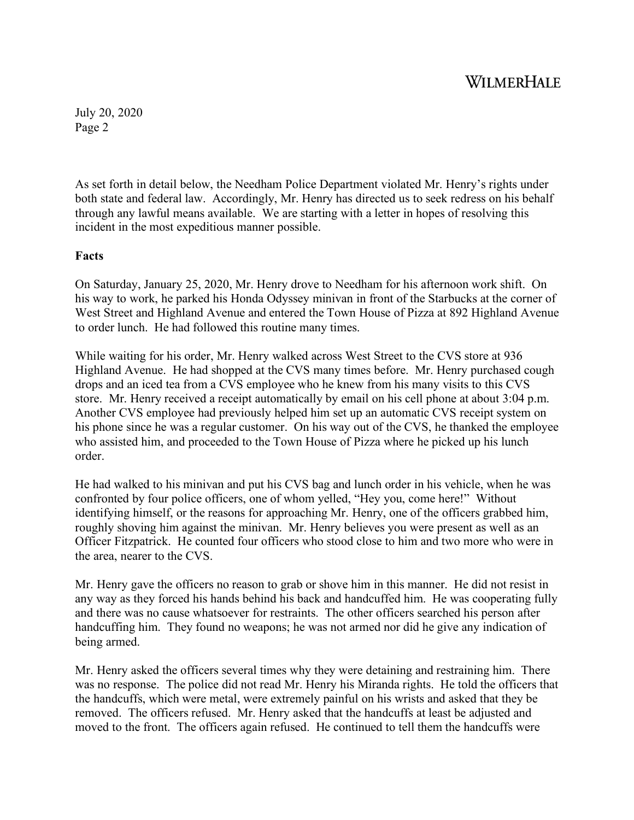July 20, 2020 Page 2

As set forth in detail below, the Needham Police Department violated Mr. Henry's rights under both state and federal law. Accordingly, Mr. Henry has directed us to seek redress on his behalf through any lawful means available. We are starting with a letter in hopes of resolving this incident in the most expeditious manner possible.

### **Facts**

On Saturday, January 25, 2020, Mr. Henry drove to Needham for his afternoon work shift. On his way to work, he parked his Honda Odyssey minivan in front of the Starbucks at the corner of West Street and Highland Avenue and entered the Town House of Pizza at 892 Highland Avenue to order lunch. He had followed this routine many times.

While waiting for his order, Mr. Henry walked across West Street to the CVS store at 936 Highland Avenue. He had shopped at the CVS many times before. Mr. Henry purchased cough drops and an iced tea from a CVS employee who he knew from his many visits to this CVS store. Mr. Henry received a receipt automatically by email on his cell phone at about 3:04 p.m. Another CVS employee had previously helped him set up an automatic CVS receipt system on his phone since he was a regular customer. On his way out of the CVS, he thanked the employee who assisted him, and proceeded to the Town House of Pizza where he picked up his lunch order.

He had walked to his minivan and put his CVS bag and lunch order in his vehicle, when he was confronted by four police officers, one of whom yelled, "Hey you, come here!" Without identifying himself, or the reasons for approaching Mr. Henry, one of the officers grabbed him, roughly shoving him against the minivan. Mr. Henry believes you were present as well as an Officer Fitzpatrick. He counted four officers who stood close to him and two more who were in the area, nearer to the CVS.

Mr. Henry gave the officers no reason to grab or shove him in this manner. He did not resist in any way as they forced his hands behind his back and handcuffed him. He was cooperating fully and there was no cause whatsoever for restraints. The other officers searched his person after handcuffing him. They found no weapons; he was not armed nor did he give any indication of being armed.

Mr. Henry asked the officers several times why they were detaining and restraining him. There was no response. The police did not read Mr. Henry his Miranda rights. He told the officers that the handcuffs, which were metal, were extremely painful on his wrists and asked that they be removed. The officers refused. Mr. Henry asked that the handcuffs at least be adjusted and moved to the front. The officers again refused. He continued to tell them the handcuffs were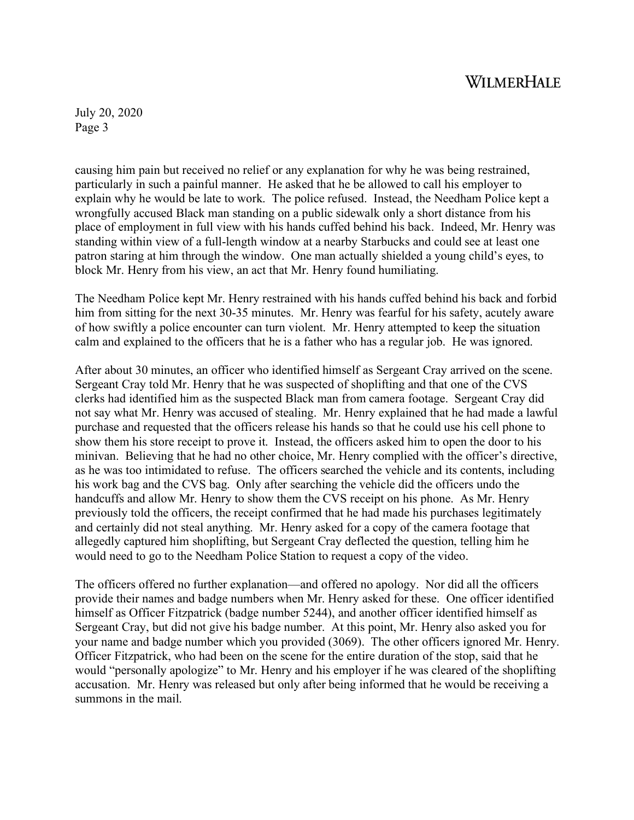July 20, 2020 Page 3

causing him pain but received no relief or any explanation for why he was being restrained, particularly in such a painful manner. He asked that he be allowed to call his employer to explain why he would be late to work. The police refused. Instead, the Needham Police kept a wrongfully accused Black man standing on a public sidewalk only a short distance from his place of employment in full view with his hands cuffed behind his back. Indeed, Mr. Henry was standing within view of a full-length window at a nearby Starbucks and could see at least one patron staring at him through the window. One man actually shielded a young child's eyes, to block Mr. Henry from his view, an act that Mr. Henry found humiliating.

The Needham Police kept Mr. Henry restrained with his hands cuffed behind his back and forbid him from sitting for the next 30-35 minutes. Mr. Henry was fearful for his safety, acutely aware of how swiftly a police encounter can turn violent. Mr. Henry attempted to keep the situation calm and explained to the officers that he is a father who has a regular job. He was ignored.

After about 30 minutes, an officer who identified himself as Sergeant Cray arrived on the scene. Sergeant Cray told Mr. Henry that he was suspected of shoplifting and that one of the CVS clerks had identified him as the suspected Black man from camera footage. Sergeant Cray did not say what Mr. Henry was accused of stealing. Mr. Henry explained that he had made a lawful purchase and requested that the officers release his hands so that he could use his cell phone to show them his store receipt to prove it. Instead, the officers asked him to open the door to his minivan. Believing that he had no other choice, Mr. Henry complied with the officer's directive, as he was too intimidated to refuse. The officers searched the vehicle and its contents, including his work bag and the CVS bag. Only after searching the vehicle did the officers undo the handcuffs and allow Mr. Henry to show them the CVS receipt on his phone. As Mr. Henry previously told the officers, the receipt confirmed that he had made his purchases legitimately and certainly did not steal anything. Mr. Henry asked for a copy of the camera footage that allegedly captured him shoplifting, but Sergeant Cray deflected the question, telling him he would need to go to the Needham Police Station to request a copy of the video.

The officers offered no further explanation—and offered no apology. Nor did all the officers provide their names and badge numbers when Mr. Henry asked for these. One officer identified himself as Officer Fitzpatrick (badge number 5244), and another officer identified himself as Sergeant Cray, but did not give his badge number. At this point, Mr. Henry also asked you for your name and badge number which you provided (3069). The other officers ignored Mr. Henry. Officer Fitzpatrick, who had been on the scene for the entire duration of the stop, said that he would "personally apologize" to Mr. Henry and his employer if he was cleared of the shoplifting accusation. Mr. Henry was released but only after being informed that he would be receiving a summons in the mail.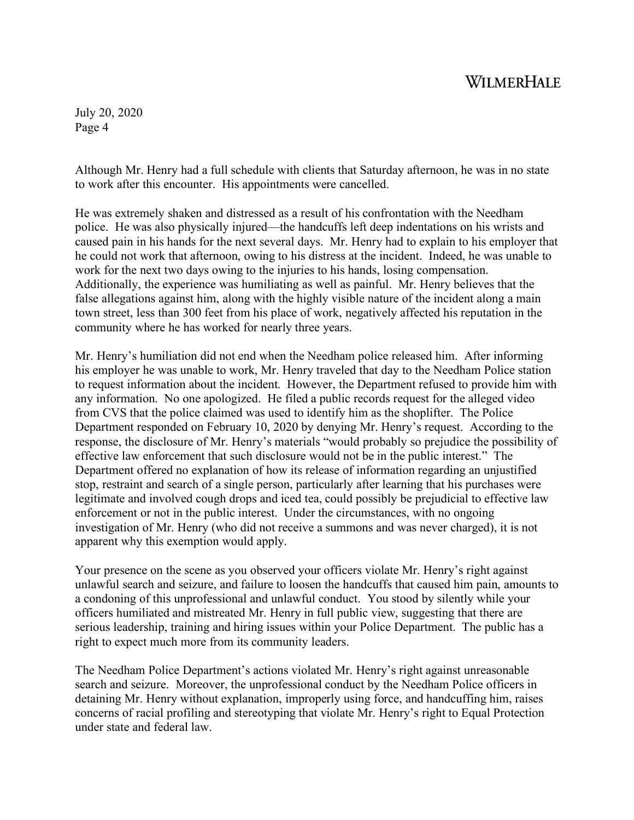July 20, 2020 Page 4

Although Mr. Henry had a full schedule with clients that Saturday afternoon, he was in no state to work after this encounter. His appointments were cancelled.

He was extremely shaken and distressed as a result of his confrontation with the Needham police. He was also physically injured—the handcuffs left deep indentations on his wrists and caused pain in his hands for the next several days. Mr. Henry had to explain to his employer that he could not work that afternoon, owing to his distress at the incident. Indeed, he was unable to work for the next two days owing to the injuries to his hands, losing compensation. Additionally, the experience was humiliating as well as painful. Mr. Henry believes that the false allegations against him, along with the highly visible nature of the incident along a main town street, less than 300 feet from his place of work, negatively affected his reputation in the community where he has worked for nearly three years.

Mr. Henry's humiliation did not end when the Needham police released him. After informing his employer he was unable to work, Mr. Henry traveled that day to the Needham Police station to request information about the incident. However, the Department refused to provide him with any information. No one apologized. He filed a public records request for the alleged video from CVS that the police claimed was used to identify him as the shoplifter. The Police Department responded on February 10, 2020 by denying Mr. Henry's request. According to the response, the disclosure of Mr. Henry's materials "would probably so prejudice the possibility of effective law enforcement that such disclosure would not be in the public interest." The Department offered no explanation of how its release of information regarding an unjustified stop, restraint and search of a single person, particularly after learning that his purchases were legitimate and involved cough drops and iced tea, could possibly be prejudicial to effective law enforcement or not in the public interest. Under the circumstances, with no ongoing investigation of Mr. Henry (who did not receive a summons and was never charged), it is not apparent why this exemption would apply.

Your presence on the scene as you observed your officers violate Mr. Henry's right against unlawful search and seizure, and failure to loosen the handcuffs that caused him pain, amounts to a condoning of this unprofessional and unlawful conduct. You stood by silently while your officers humiliated and mistreated Mr. Henry in full public view, suggesting that there are serious leadership, training and hiring issues within your Police Department. The public has a right to expect much more from its community leaders.

The Needham Police Department's actions violated Mr. Henry's right against unreasonable search and seizure. Moreover, the unprofessional conduct by the Needham Police officers in detaining Mr. Henry without explanation, improperly using force, and handcuffing him, raises concerns of racial profiling and stereotyping that violate Mr. Henry's right to Equal Protection under state and federal law.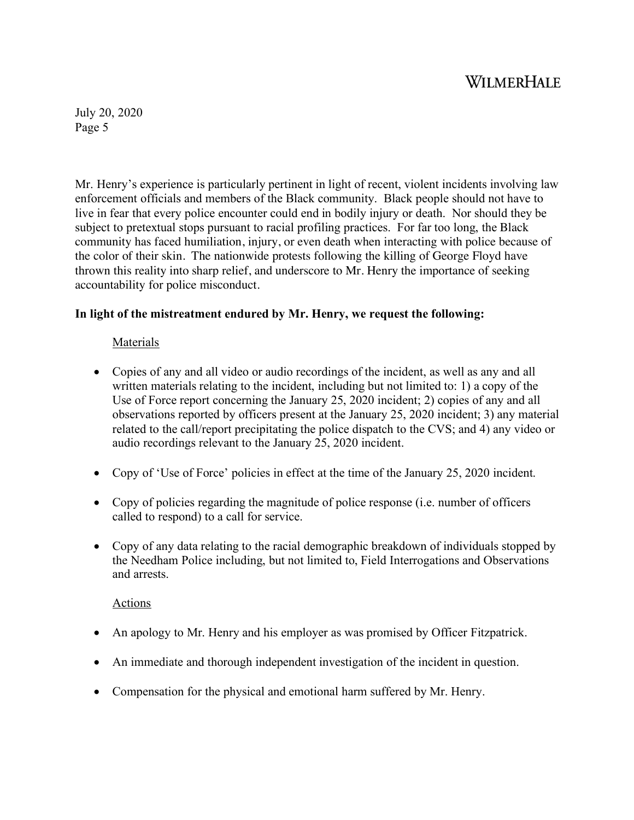July 20, 2020 Page 5

Mr. Henry's experience is particularly pertinent in light of recent, violent incidents involving law enforcement officials and members of the Black community. Black people should not have to live in fear that every police encounter could end in bodily injury or death. Nor should they be subject to pretextual stops pursuant to racial profiling practices. For far too long, the Black community has faced humiliation, injury, or even death when interacting with police because of the color of their skin. The nationwide protests following the killing of George Floyd have thrown this reality into sharp relief, and underscore to Mr. Henry the importance of seeking accountability for police misconduct.

### **In light of the mistreatment endured by Mr. Henry, we request the following:**

### Materials

- Copies of any and all video or audio recordings of the incident, as well as any and all written materials relating to the incident, including but not limited to: 1) a copy of the Use of Force report concerning the January 25, 2020 incident; 2) copies of any and all observations reported by officers present at the January 25, 2020 incident; 3) any material related to the call/report precipitating the police dispatch to the CVS; and 4) any video or audio recordings relevant to the January 25, 2020 incident.
- Copy of 'Use of Force' policies in effect at the time of the January 25, 2020 incident.
- Copy of policies regarding the magnitude of police response (i.e. number of officers called to respond) to a call for service.
- Copy of any data relating to the racial demographic breakdown of individuals stopped by the Needham Police including, but not limited to, Field Interrogations and Observations and arrests.

#### Actions

- An apology to Mr. Henry and his employer as was promised by Officer Fitzpatrick.
- An immediate and thorough independent investigation of the incident in question.
- Compensation for the physical and emotional harm suffered by Mr. Henry.